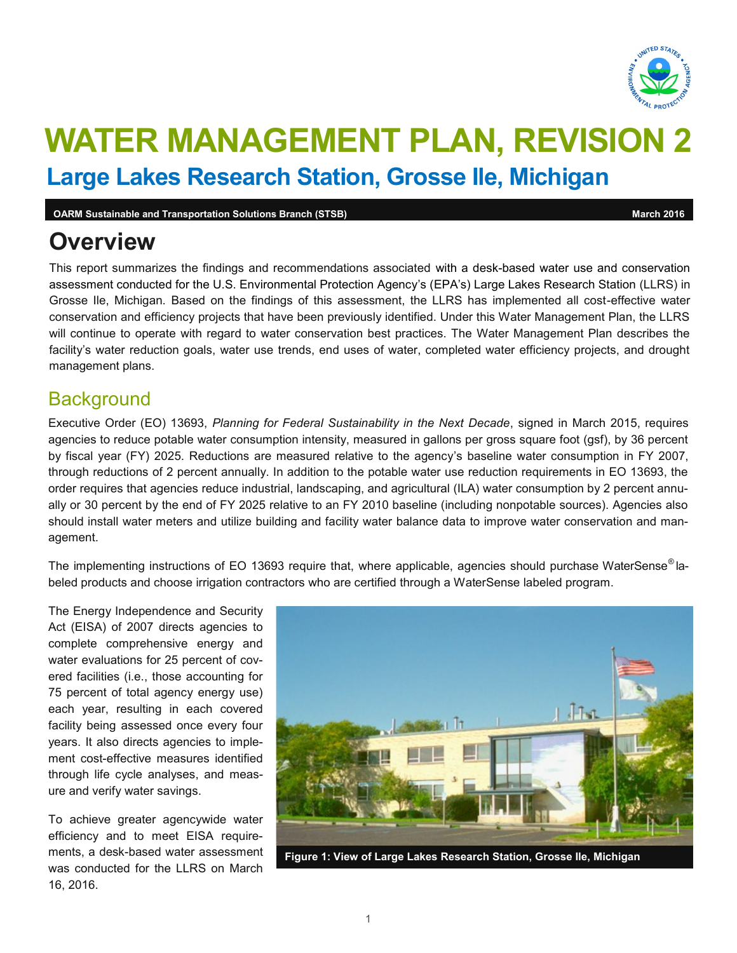

# **WATER MANAGEMENT PLAN, REVISION 2 Large Lakes Research Station, Grosse Ile, Michigan**

**OARM Sustainable and Transportation Solutions Branch (STSB) March 2016** March 2016 **March 2016** 

## **Overview**

 This report summarizes the findings and recommendations associated with a desk-based water use and conservation Grosse Ile, Michigan. Based on the findings of this assessment, the LLRS has implemented all cost-effective water conservation and efficiency projects that have been previously identified. Under this Water Management Plan, the LLRS will continue to operate with regard to water conservation best practices. The Water Management Plan describes the facility's water reduction goals, water use trends, end uses of water, completed water efficiency projects, and drought assessment conducted for the U.S. Environmental Protection Agency's (EPA's) Large Lakes Research Station (LLRS) in management plans.

### **Background**

 Executive Order (EO) 13693, *Planning for Federal Sustainability in the Next Decade*, signed in March 2015, requires agencies to reduce potable water consumption intensity, measured in gallons per gross square foot (gsf), by 36 percent by fiscal year (FY) 2025. Reductions are measured relative to the agency's baseline water consumption in FY 2007, through reductions of 2 percent annually. In addition to the potable water use reduction requirements in EO 13693, the order requires that agencies reduce industrial, landscaping, and agricultural (ILA) water consumption by 2 percent annu- ally or 30 percent by the end of FY 2025 relative to an FY 2010 baseline (including nonpotable sources). Agencies also should install water meters and utilize building and facility water balance data to improve water conservation and management.

The implementing instructions of EO 13693 require that, where applicable, agencies should purchase WaterSense $^\circ$ labeled products and choose irrigation contractors who are certified through a WaterSense labeled program.

 The Energy Independence and Security Act (EISA) of 2007 directs agencies to complete comprehensive energy and water evaluations for 25 percent of cov- ered facilities (i.e., those accounting for 75 percent of total agency energy use) facility being assessed once every four years. It also directs agencies to imple- ment cost-effective measures identified each year, resulting in each covered through life cycle analyses, and measure and verify water savings.

 To achieve greater agencywide water ments, a desk-based water assessment was conducted for the LLRS on March efficiency and to meet EISA require-16, 2016.



**Figure 1: View of Large Lakes Research Station, Grosse Ile, Michigan**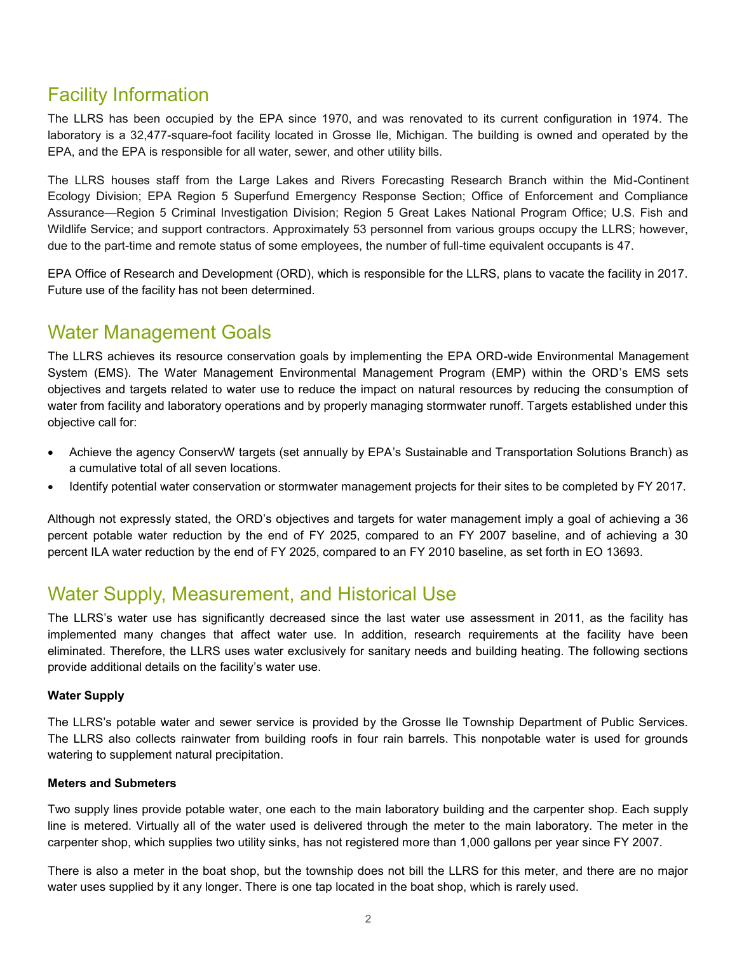### Facility Information

 The LLRS has been occupied by the EPA since 1970, and was renovated to its current configuration in 1974. The laboratory is a 32,477-square-foot facility located in Grosse Ile, Michigan. The building is owned and operated by the EPA, and the EPA is responsible for all water, sewer, and other utility bills.

 The LLRS houses staff from the Large Lakes and Rivers Forecasting Research Branch within the Mid-Continent Assurance—Region 5 Criminal Investigation Division; Region 5 Great Lakes National Program Office; U.S. Fish and Wildlife Service; and support contractors. Approximately 53 personnel from various groups occupy the LLRS; however, Ecology Division; EPA Region 5 Superfund Emergency Response Section; Office of Enforcement and Compliance due to the part-time and remote status of some employees, the number of full-time equivalent occupants is 47.

 EPA Office of Research and Development (ORD), which is responsible for the LLRS, plans to vacate the facility in 2017. Future use of the facility has not been determined.

### Water Management Goals

 The LLRS achieves its resource conservation goals by implementing the EPA ORD-wide Environmental Management System (EMS). The Water Management Environmental Management Program (EMP) within the ORD's EMS sets objectives and targets related to water use to reduce the impact on natural resources by reducing the consumption of water from facility and laboratory operations and by properly managing stormwater runoff. Targets established under this objective call for:

- Achieve the agency ConservW targets (set annually by EPA's Sustainable and Transportation Solutions Branch) as a cumulative total of all seven locations.
- Identify potential water conservation or stormwater management projects for their sites to be completed by FY 2017.

 Although not expressly stated, the ORD's objectives and targets for water management imply a goal of achieving a 36 percent potable water reduction by the end of FY 2025, compared to an FY 2007 baseline, and of achieving a 30 percent ILA water reduction by the end of FY 2025, compared to an FY 2010 baseline, as set forth in EO 13693.

### Water Supply, Measurement, and Historical Use

 The LLRS's water use has significantly decreased since the last water use assessment in 2011, as the facility has implemented many changes that affect water use. In addition, research requirements at the facility have been eliminated. Therefore, the LLRS uses water exclusively for sanitary needs and building heating. The following sections provide additional details on the facility's water use.

#### **Water Supply**

 The LLRS's potable water and sewer service is provided by the Grosse Ile Township Department of Public Services. The LLRS also collects rainwater from building roofs in four rain barrels. This nonpotable water is used for grounds watering to supplement natural precipitation.

#### **Meters and Submeters**

 Two supply lines provide potable water, one each to the main laboratory building and the carpenter shop. Each supply line is metered. Virtually all of the water used is delivered through the meter to the main laboratory. The meter in the carpenter shop, which supplies two utility sinks, has not registered more than 1,000 gallons per year since FY 2007.

 There is also a meter in the boat shop, but the township does not bill the LLRS for this meter, and there are no major water uses supplied by it any longer. There is one tap located in the boat shop, which is rarely used.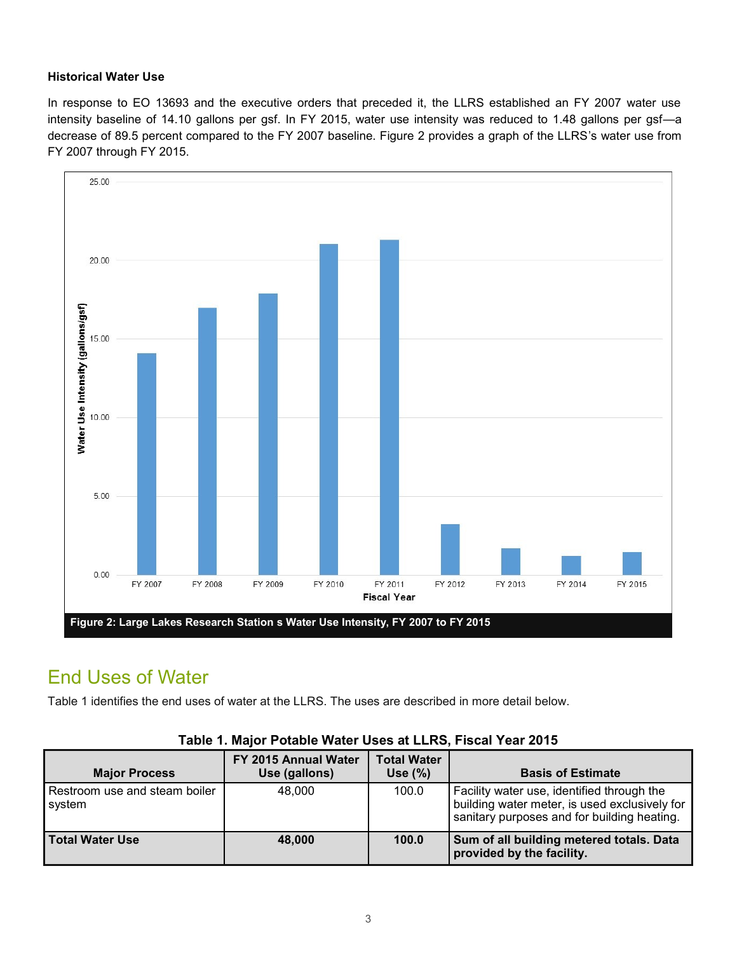#### **Historical Water Use**

 In response to EO 13693 and the executive orders that preceded it, the LLRS established an FY 2007 water use intensity baseline of 14.10 gallons per gsf. In FY 2015, water use intensity was reduced to 1.48 gallons per gsf—a decrease of 89.5 percent compared to the FY 2007 baseline. Figure 2 provides a graph of the LLRS's water use from FY 2007 through FY 2015.



### End Uses of Water

Table 1 identifies the end uses of water at the LLRS. The uses are described in more detail below.

| <b>Major Process</b>                    | FY 2015 Annual Water<br>Use (gallons) | <b>Total Water</b><br>Use $(\%)$ | <b>Basis of Estimate</b>                                                                                                                   |
|-----------------------------------------|---------------------------------------|----------------------------------|--------------------------------------------------------------------------------------------------------------------------------------------|
| Restroom use and steam boiler<br>svstem | 48.000                                | 100.0                            | Facility water use, identified through the<br>building water meter, is used exclusively for<br>sanitary purposes and for building heating. |
| Total Water Use                         | 48,000                                | 100.0                            | Sum of all building metered totals. Data<br>provided by the facility.                                                                      |

#### **Table 1. Major Potable Water Uses at LLRS, Fiscal Year 2015**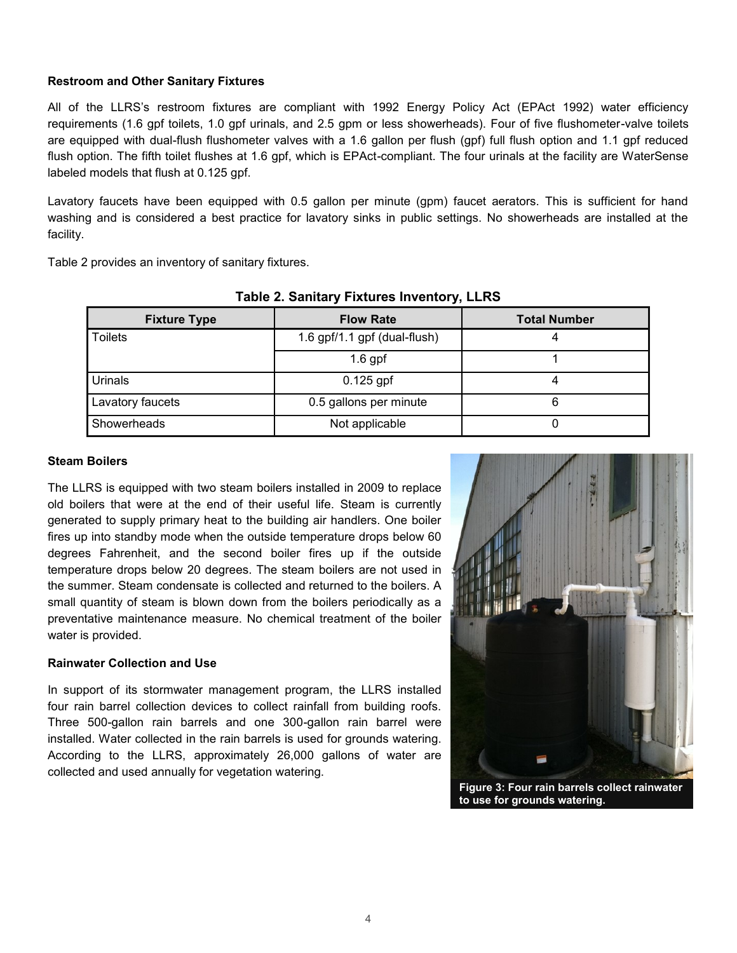#### **Restroom and Other Sanitary Fixtures**

 All of the LLRS's restroom fixtures are compliant with 1992 Energy Policy Act (EPAct 1992) water efficiency requirements (1.6 gpf toilets, 1.0 gpf urinals, and 2.5 gpm or less showerheads). Four of five flushometer-valve toilets are equipped with dual-flush flushometer valves with a 1.6 gallon per flush (gpf) full flush option and 1.1 gpf reduced flush option. The fifth toilet flushes at 1.6 gpf, which is EPAct-compliant. The four urinals at the facility are WaterSense labeled models that flush at 0.125 gpf.

 Lavatory faucets have been equipped with 0.5 gallon per minute (gpm) faucet aerators. This is sufficient for hand washing and is considered a best practice for lavatory sinks in public settings. No showerheads are installed at the facility.

Table 2 provides an inventory of sanitary fixtures.

| <b>Fixture Type</b> | <b>Flow Rate</b>             | <b>Total Number</b> |  |  |  |
|---------------------|------------------------------|---------------------|--|--|--|
| Toilets             | 1.6 gpf/1.1 gpf (dual-flush) |                     |  |  |  |
|                     | $1.6$ gpf                    |                     |  |  |  |
| <b>Urinals</b>      | $0.125$ gpf                  |                     |  |  |  |
| Lavatory faucets    | 0.5 gallons per minute       |                     |  |  |  |
| Showerheads         | Not applicable               |                     |  |  |  |

#### **Table 2. Sanitary Fixtures Inventory, LLRS**

#### **Steam Boilers**

 The LLRS is equipped with two steam boilers installed in 2009 to replace old boilers that were at the end of their useful life. Steam is currently generated to supply primary heat to the building air handlers. One boiler fires up into standby mode when the outside temperature drops below 60 degrees Fahrenheit, and the second boiler fires up if the outside temperature drops below 20 degrees. The steam boilers are not used in the summer. Steam condensate is collected and returned to the boilers. A small quantity of steam is blown down from the boilers periodically as a preventative maintenance measure. No chemical treatment of the boiler water is provided.

#### **Rainwater Collection and Use**

 In support of its stormwater management program, the LLRS installed four rain barrel collection devices to collect rainfall from building roofs. Three 500-gallon rain barrels and one 300-gallon rain barrel were installed. Water collected in the rain barrels is used for grounds watering. According to the LLRS, approximately 26,000 gallons of water are collected and used annually for vegetation watering.



**Figure 3: Four rain barrels collect rainwater to use for grounds watering.**